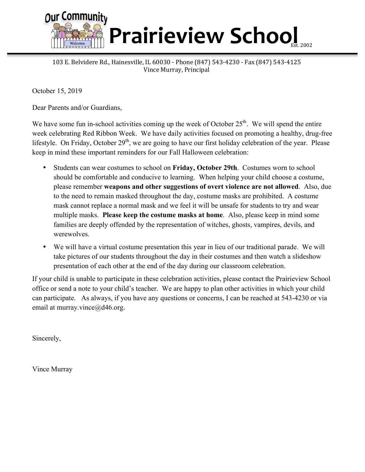

## **Prairieview School**

103 E. Belvidere Rd., Hainesville, IL 60030 - Phone (847) 543-4230 - Fax (847) 543-4125 Vince Murray, Principal

October 15, 2019

Dear Parents and/or Guardians,

We have some fun in-school activities coming up the week of October  $25<sup>th</sup>$ . We will spend the entire week celebrating Red Ribbon Week. We have daily activities focused on promoting a healthy, drug-free lifestyle. On Friday, October  $29<sup>th</sup>$ , we are going to have our first holiday celebration of the year. Please keep in mind these important reminders for our Fall Halloween celebration:

- Students can wear costumes to school on **Friday, October 29th**. Costumes worn to school should be comfortable and conducive to learning. When helping your child choose a costume, please remember **weapons and other suggestions of overt violence are not allowed**. Also, due to the need to remain masked throughout the day, costume masks are prohibited. A costume mask cannot replace a normal mask and we feel it will be unsafe for students to try and wear multiple masks. **Please keep the costume masks at home**. Also, please keep in mind some families are deeply offended by the representation of witches, ghosts, vampires, devils, and werewolves.
- We will have a virtual costume presentation this year in lieu of our traditional parade. We will take pictures of our students throughout the day in their costumes and then watch a slideshow presentation of each other at the end of the day during our classroom celebration.

If your child is unable to participate in these celebration activities, please contact the Prairieview School office or send a note to your child's teacher. We are happy to plan other activities in which your child can participate. As always, if you have any questions or concerns, I can be reached at 543-4230 or via email at murray.vince@d46.org.

Sincerely,

Vince Murray